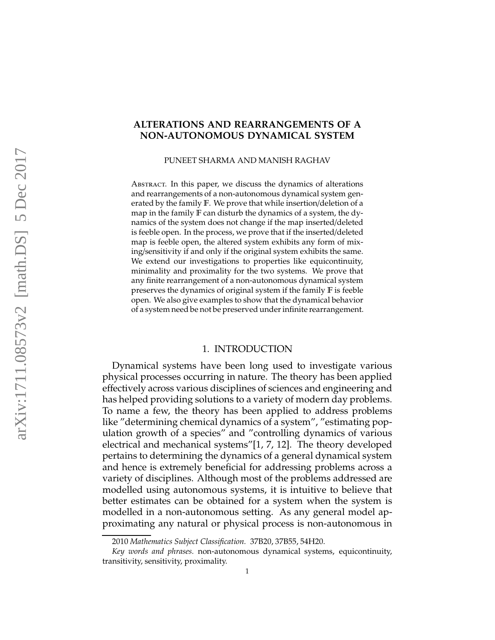# **ALTERATIONS AND REARRANGEMENTS OF A NON-AUTONOMOUS DYNAMICAL SYSTEM**

PUNEET SHARMA AND MANISH RAGHAV

ABSTRACT. In this paper, we discuss the dynamics of alterations and rearrangements of a non-autonomous dynamical system generated by the family F. We prove that while insertion/deletion of a map in the family F can disturb the dynamics of a system, the dynamics of the system does not change if the map inserted/deleted is feeble open. In the process, we prove that if the inserted/deleted map is feeble open, the altered system exhibits any form of mixing/sensitivity if and only if the original system exhibits the same. We extend our investigations to properties like equicontinuity, minimality and proximality for the two systems. We prove that any finite rearrangement of a non-autonomous dynamical system preserves the dynamics of original system if the family F is feeble open. We also give examples to show that the dynamical behavior of a system need be not be preserved under infinite rearrangement.

### 1. INTRODUCTION

Dynamical systems have been long used to investigate various physical processes occurring in nature. The theory has been applied effectively across various disciplines of sciences and engineering and has helped providing solutions to a variety of modern day problems. To name a few, the theory has been applied to address problems like "determining chemical dynamics of a system", "estimating population growth of a species" and "controlling dynamics of various electrical and mechanical systems"[1, 7, 12]. The theory developed pertains to determining the dynamics of a general dynamical system and hence is extremely beneficial for addressing problems across a variety of disciplines. Although most of the problems addressed are modelled using autonomous systems, it is intuitive to believe that better estimates can be obtained for a system when the system is modelled in a non-autonomous setting. As any general model approximating any natural or physical process is non-autonomous in

<sup>2010</sup> *Mathematics Subject Classification.* 37B20, 37B55, 54H20.

*Key words and phrases.* non-autonomous dynamical systems, equicontinuity, transitivity, sensitivity, proximality.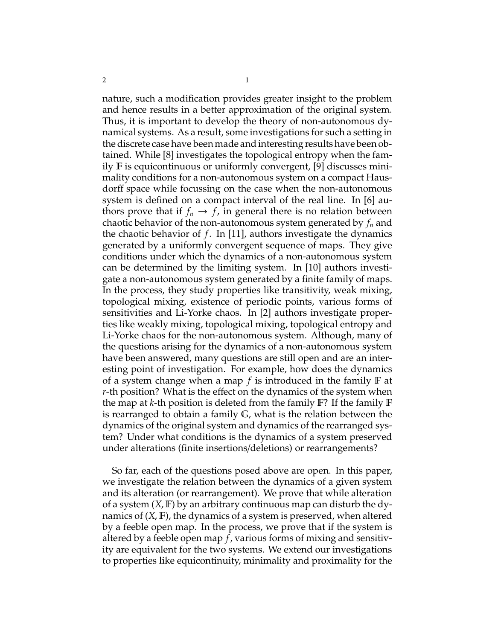nature, such a modification provides greater insight to the problem and hence results in a better approximation of the original system. Thus, it is important to develop the theory of non-autonomous dynamical systems. As a result, some investigations for such a setting in the discrete case have been made and interesting results have been obtained. While [8] investigates the topological entropy when the family F is equicontinuous or uniformly convergent, [9] discusses minimality conditions for a non-autonomous system on a compact Hausdorff space while focussing on the case when the non-autonomous system is defined on a compact interval of the real line. In [6] authors prove that if  $f_n \to f$ , in general there is no relation between chaotic behavior of the non-autonomous system generated by *f<sup>n</sup>* and the chaotic behavior of *f*. In [11], authors investigate the dynamics generated by a uniformly convergent sequence of maps. They give conditions under which the dynamics of a non-autonomous system can be determined by the limiting system. In [10] authors investigate a non-autonomous system generated by a finite family of maps. In the process, they study properties like transitivity, weak mixing, topological mixing, existence of periodic points, various forms of sensitivities and Li-Yorke chaos. In [2] authors investigate properties like weakly mixing, topological mixing, topological entropy and Li-Yorke chaos for the non-autonomous system. Although, many of the questions arising for the dynamics of a non-autonomous system have been answered, many questions are still open and are an interesting point of investigation. For example, how does the dynamics of a system change when a map *f* is introduced in the family F at *r*-th position? What is the effect on the dynamics of the system when the map at *k*-th position is deleted from the family F? If the family F is rearranged to obtain a family G, what is the relation between the dynamics of the original system and dynamics of the rearranged system? Under what conditions is the dynamics of a system preserved under alterations (finite insertions/deletions) or rearrangements?

So far, each of the questions posed above are open. In this paper, we investigate the relation between the dynamics of a given system and its alteration (or rearrangement). We prove that while alteration of a system (*X*, F) by an arbitrary continuous map can disturb the dynamics of (*X*, F), the dynamics of a system is preserved, when altered by a feeble open map. In the process, we prove that if the system is altered by a feeble open map *f*, various forms of mixing and sensitivity are equivalent for the two systems. We extend our investigations to properties like equicontinuity, minimality and proximality for the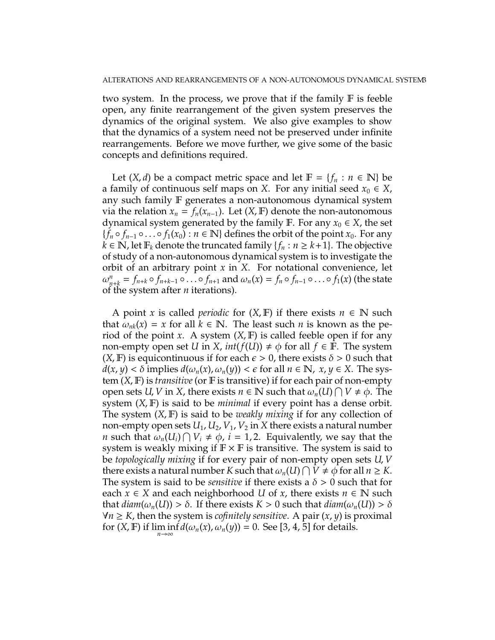two system. In the process, we prove that if the family F is feeble open, any finite rearrangement of the given system preserves the dynamics of the original system. We also give examples to show that the dynamics of a system need not be preserved under infinite rearrangements. Before we move further, we give some of the basic concepts and definitions required.

Let  $(X, d)$  be a compact metric space and let  $F = \{f_n : n \in \mathbb{N}\}\$ a family of continuous self maps on *X*. For any initial seed  $x_0 \in X$ , any such family F generates a non-autonomous dynamical system via the relation  $x_n = f_n(x_{n-1})$ . Let  $(X, \mathbb{F})$  denote the non-autonomous dynamical system generated by the family F. For any  $x_0 \in X$ , the set  ${f_n \circ f_{n-1} \circ \ldots \circ f_1(x_0) : n \in \mathbb{N} }$  defines the orbit of the point  $x_0$ . For any *k* ∈ **N**, let  $\mathbb{F}_k$  denote the truncated family { $f_n : n \geq k+1$ }. The objective of study of a non-autonomous dynamical system is to investigate the orbit of an arbitrary point *x* in *X*. For notational convenience, let  $\omega_{n+k}^n = f_{n+k} \circ f_{n+k-1} \circ \ldots \circ f_{n+1}$  and  $\omega_n(x) = f_n \circ f_{n-1} \circ \ldots \circ f_1(x)$  (the state of the system after *n* iterations).

A point *x* is called *periodic* for  $(X, F)$  if there exists  $n \in \mathbb{N}$  such that  $\omega_{nk}(x) = x$  for all  $k \in \mathbb{N}$ . The least such *n* is known as the period of the point *x*. A system  $(X, \mathbb{F})$  is called feeble open if for any non-empty open set *U* in *X*,  $int(f(U)) \neq \phi$  for all  $f \in \mathbb{F}$ . The system  $(X, \mathbb{F})$  is equicontinuous if for each  $\epsilon > 0$ , there exists  $\delta > 0$  such that  $d(x, y) < \delta$  implies  $d(\omega_n(x), \omega_n(y)) < \epsilon$  for all  $n \in \mathbb{N}$ ,  $x, y \in X$ . The system (*X*, F) is *transitive* (or F is transitive) if for each pair of non-empty open sets *U*, *V* in *X*, there exists  $n \in \mathbb{N}$  such that  $\omega_n(U) \cap V \neq \phi$ . The system (*X*, F) is said to be *minimal* if every point has a dense orbit. The system (*X*, F) is said to be *weakly mixing* if for any collection of non-empty open sets  $U_1, U_2, V_1, V_2$  in X there exists a natural number *n* such that  $\omega_n(U_i) \cap V_i \neq \phi$ , *i* = 1, 2. Equivalently, we say that the system is weakly mixing if  $\mathbb{F} \times \mathbb{F}$  is transitive. The system is said to be *topologically mixing* if for every pair of non-empty open sets *U*, *V* there exists a natural number *K* such that  $\omega_n(U) \cap V \neq \phi$  for all  $n \geq K$ . The system is said to be *sensitive* if there exists a  $\delta > 0$  such that for each  $x \in X$  and each neighborhood *U* of *x*, there exists  $n \in \mathbb{N}$  such that  $diam(\omega_n(U)) > \delta$ . If there exists  $K > 0$  such that  $diam(\omega_n(U)) > \delta$  $∀n ≥ K$ , then the system is *cofinitely sensitive*. A pair  $(x, y)$  is proximal for  $(X, \mathbb{F})$  if  $\liminf_{n \to \infty} d(\omega_n(x), \omega_n(y)) = 0$ . See [3, 4, 5] for details.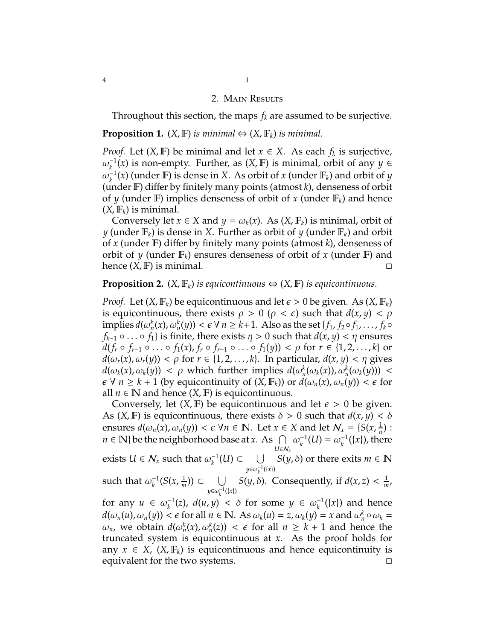#### 2. Main Results

Throughout this section, the maps *f<sup>k</sup>* are assumed to be surjective.

### **Proposition 1.**  $(X, \mathbb{F})$  *is minimal*  $\Leftrightarrow$   $(X, \mathbb{F}_k)$  *is minimal.*

*Proof.* Let  $(X, \mathbb{F})$  be minimal and let  $x \in X$ . As each  $f_k$  is surjective,  $\omega_k^{-1}$  $\kappa$ <sup>1</sup>/(*x*) is non-empty. Further, as (*X*, **F**) is minimal, orbit of any *y* ∈  $\omega_k^{-1}$  $K_k^{-1}(x)$  (under F) is dense in *X*. As orbit of *x* (under F<sub>*k*</sub>) and orbit of *y* (under F) differ by finitely many points (atmost *k*), denseness of orbit of *y* (under F) implies denseness of orbit of *x* (under  $\mathbb{F}_k$ ) and hence  $(X, \mathbb{F}_k)$  is minimal.

Conversely let  $x \in X$  and  $y = \omega_k(x)$ . As  $(X, \mathbb{F}_k)$  is minimal, orbit of *y* (under  $\mathbb{F}_k$ ) is dense in *X*. Further as orbit of *y* (under  $\mathbb{F}_k$ ) and orbit of *x* (under F) differ by finitely many points (atmost *k*), denseness of orbit of *y* (under  $\mathbb{F}_k$ ) ensures denseness of orbit of *x* (under  $\mathbb{F}$ ) and hence (*X*, F) is minimal.

## **Proposition 2.**  $(X, \mathbb{F}_k)$  *is equicontinuous*  $\Leftrightarrow$   $(X, \mathbb{F})$  *is equicontinuous.*

*Proof.* Let  $(X, \mathbb{F}_k)$  be equicontinuous and let  $\epsilon > 0$  be given. As  $(X, \mathbb{F}_k)$ is equicontinuous, there exists  $\rho > 0$  ( $\rho < \epsilon$ ) such that  $d(x, y) < \rho$  $\lim \text{p}$ lies  $d(\omega_n^k(x), \omega_n^k(y)) < \epsilon \ \forall \ n \geq k+1$ . Also as the set  $\{f_1, f_2 \circ f_1, \ldots, f_k \circ f_k\}$ *f*<sub>*k*−1</sub> ◦ . . . ◦ *f*<sub>1</sub>} is finite, there exists  $η$  > 0 such that  $d(x, y)$  <  $η$  ensures  $d(f_r \circ f_{r-1} \circ \ldots \circ f_1(x), f_r \circ f_{r-1} \circ \ldots \circ f_1(y)) < \rho$  for  $r \in \{1, 2, \ldots, k\}$  or  $d(\omega_r(x), \omega_r(y)) < \rho$  for  $r \in \{1, 2, ..., k\}$ . In particular,  $d(x, y) < \eta$  gives *d*( $\omega_k(x), \omega_k(y)$ ) <  $\rho$  which further implies  $d(\omega_n^k(\omega_k(x)), \omega_n^k(\omega_k(y)))$  <  $\epsilon \forall n \geq k+1$  (by equicontinuity of  $(X, \mathbb{F}_k)$ ) or  $d(\omega_n(x), \omega_n(y)) < \epsilon$  for all  $n \in \mathbb{N}$  and hence  $(X, \mathbb{F})$  is equicontinuous.

Conversely, let  $(X, F)$  be equicontinuous and let  $\epsilon > 0$  be given. As  $(X, \mathbb{F})$  is equicontinuous, there exists  $\delta > 0$  such that  $d(x, y) < \delta$ ensures  $d(\omega_n(x), \omega_n(y)) < \epsilon \ \forall n \in \mathbb{N}$ . Let  $x \in X$  and let  $\mathcal{N}_x = \{S(x, \frac{1}{n})\}$  $\frac{1}{n}$ ) :  $n \in \mathbb{N}$ } be the neighborhood base at *x*. As  $\cap$ *U*∈N*<sup>x</sup>*  $\omega_k^{-1}$  $_{k}^{-1}(U) = \omega_k^{-1}$  $\binom{-1}{k}$ , there exists  $U \in \mathcal{N}_x$  such that  $\omega_k^{-1}$  $S(y, δ)$  or there exits *m* ∈ **N**  $y \in \omega_k^{-1}(\{x\})$ such that  $\omega_k^{-1}$  $_{k}^{-1}(S(x, \frac{1}{m}))$  $\frac{1}{m}$ )) ⊂ ∪  $y \in \omega_k^{-1}(\{x\})$ *S*(*y*,  $\delta$ ). Consequently, if  $d(x, z) < \frac{1}{m}$  $\frac{1}{m}$ , for any  $u \in \omega_k^{-1}$  $\chi_k^{-1}(z)$ ,  $d(u, y) < \delta$  for some  $y \in \omega_k^{-1}$  $\chi_k^{-1}(\{x\})$  and hence  $d(\omega_n(u), \omega_n(y)) < \epsilon$  for all  $n \in \mathbb{N}$ . As  $\omega_k(u) = z$ ,  $\omega_k(y) = x$  and  $\omega_n^k \circ \omega_k =$ *ω*<sub>*n*</sub>, we obtain *d*( $ω_n^k(x)$ ,  $ω_n^k(z)$ ) < *ε* for all *n* ≥ *k* + 1 and hence the truncated system is equicontinuous at *x*. As the proof holds for any  $x \in X$ ,  $(X, \mathbb{F}_k)$  is equicontinuous and hence equicontinuity is equivalent for the two systems.  $\Box$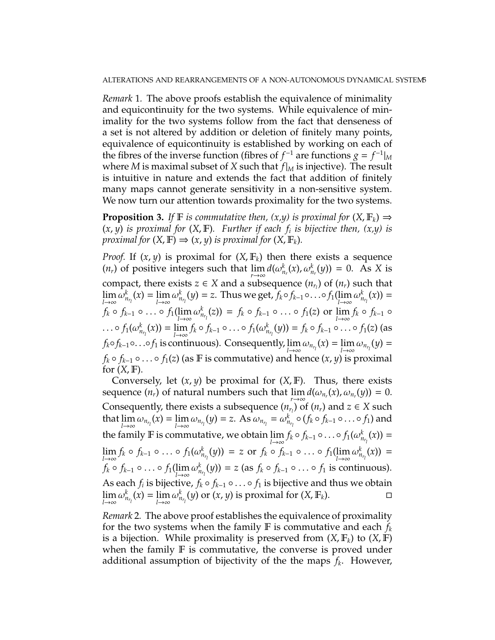*Remark* 1*.* The above proofs establish the equivalence of minimality and equicontinuity for the two systems. While equivalence of minimality for the two systems follow from the fact that denseness of a set is not altered by addition or deletion of finitely many points, equivalence of equicontinuity is established by working on each of the fibres of the inverse function (fibres of  $f^{-1}$  are functions  $g = f^{-1}|_M$ where *M* is maximal subset of *X* such that *f*|*<sup>M</sup>* is injective). The result is intuitive in nature and extends the fact that addition of finitely many maps cannot generate sensitivity in a non-sensitive system. We now turn our attention towards proximality for the two systems.

**Proposition 3.** *If*  $\mathbb{F}$  *is commutative then,*  $(x,y)$  *is proximal for*  $(X, \mathbb{F}_k) \Rightarrow$  $(x, y)$  *is proximal for*  $(X, F)$ *. Further if each*  $f_i$  *is bijective then,*  $(x,y)$  *is proximal for*  $(X, \mathbb{F}) \Rightarrow (x, y)$  *is proximal for*  $(X, \mathbb{F}_k)$ *.* 

*Proof.* If  $(x, y)$  is proximal for  $(X, \mathbb{F}_k)$  then there exists a sequence  $(n_r)$  of positive integers such that  $\lim_{r \to \infty} d(\omega_{n_r}^k(x), \omega_{n_r}^k(y)) = 0$ . As *X* is compact, there exists  $z \in X$  and a subsequence  $(n_{r_l})$  of  $(n_r)$  such that  $\lim_{l\to\infty}\omega_{n_{r_l}}^k(x)=\lim_{l\to\infty}\omega_{n_{r_l}}^k(y)=z.$  Thus we get,  $f_k\circ f_{k-1}\circ\ldots\circ f_1(\lim_{l\to\infty}\omega_{n_{r_l}}^k(x))=$  $f_k \circ f_{k-1} \circ \ldots \circ f_1(\lim_{l \to \infty} \omega_{n_{r_l}}^k(z)) = f_k \circ f_{k-1} \circ \ldots \circ f_1(z) \text{ or } \lim_{l \to \infty} f_k \circ f_{k-1} \circ$ ...  $\circ$   $f_1(\omega_{n_{r_1}}^k(x)) = \lim_{l \to \infty} f_k \circ f_{k-1} \circ \dots \circ f_1(\omega_{n_{r_l}}^k(y)) = f_k \circ f_{k-1} \circ \dots \circ f_1(z)$  (as  $f_k \circ f_{k-1} \circ \ldots \circ f_1$  is continuous). Consequently,  $\lim_{l \to \infty} \omega_{n_{r_l}}(x) = \lim_{l \to \infty} \omega_{n_{r_l}}(y) =$  $f_k \circ f_{k-1} \circ \ldots \circ f_1(z)$  (as **F** is commutative) and hence  $(x, y)$  is proximal for  $(X, \mathbb{F})$ .

Conversely, let (*x*, *y*) be proximal for (*X*, F). Thus, there exists sequence  $(n_r)$  of natural numbers such that  $\lim_{r\to\infty} d(\omega_{n_r}(x), \omega_{n_r}(y)) = 0$ . Consequently, there exists a subsequence  $(n_{r_i})$  of  $(n_r)$  and  $z \in X$  such that  $\lim_{l\to\infty}\omega_{n_{r_l}}(x)=\lim_{l\to\infty}\omega_{n_{r_l}}(y)=z$ . As  $\omega_{n_{r_l}}=\omega_{n_{r_l}}^k\circ(f_k\circ f_{k-1}\circ\ldots\circ f_1)$  and the family  $\mathbb F$  is commutative, we obtain  $\lim_{l\to\infty} f_k \circ f_{k-1} \circ \dots \circ f_1(\omega_{n_{r_l}}^k(x)) =$  $\lim_{l\to\infty} f_k \circ f_{k-1} \circ \dots \circ f_1(\omega_{n_{r_l}}^k(y)) = z \text{ or } f_k \circ f_{k-1} \circ \dots \circ f_1(\lim_{l\to\infty} \omega_{n_{r_l}}^k(x)) =$  $f_k \circ f_{k-1} \circ \ldots \circ f_1(\lim_{l \to \infty} \omega^k_{n_{r_l}}(y)) = z$  (as  $f_k \circ f_{k-1} \circ \ldots \circ f_1$  is continuous). As each  $f_i$  is bijective,  $f_k \circ f_{k-1} \circ \ldots \circ f_1$  is bijective and thus we obtain lim  $\omega_{n_{r_1}}^k(x) = \lim_{l \to \infty} \omega_{n_{r_l}}^k(y)$  or  $(x, y)$  is proximal for  $(X, \mathbb{F}_k)$ . □

*Remark* 2*.* The above proof establishes the equivalence of proximality for the two systems when the family  $\mathbb F$  is commutative and each  $f_k$ is a bijection. While proximality is preserved from  $(X, \mathbb{F}_k)$  to  $(X, \mathbb{F})$ when the family  $F$  is commutative, the converse is proved under additional assumption of bijectivity of the the maps *f<sup>k</sup>* . However,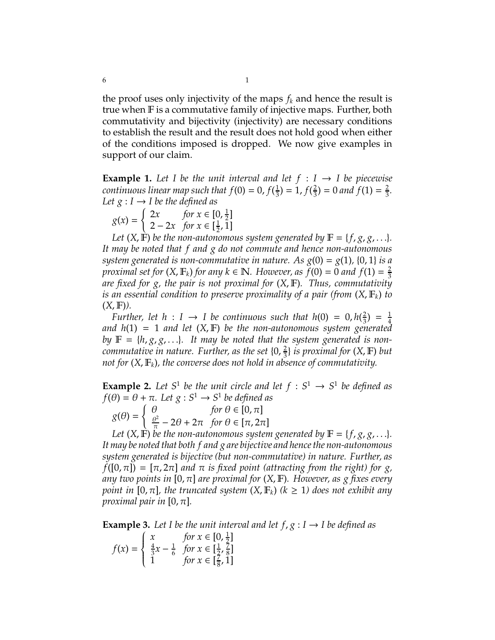the proof uses only injectivity of the maps  $f_k$  and hence the result is true when F is a commutative family of injective maps. Further, both commutativity and bijectivity (injectivity) are necessary conditions to establish the result and the result does not hold good when either of the conditions imposed is dropped. We now give examples in support of our claim.

**Example 1.** Let I be the unit interval and let  $f : I \rightarrow I$  be piecewise *continuous linear map such that*  $f(0) = 0$ ,  $f(\frac{1}{3})$  $(\frac{1}{3})=1, f(\frac{2}{3})$  $\frac{2}{3}$ ) = 0 and f(1) =  $\frac{2}{3}$ 3 *. Let*  $g: I \rightarrow I$  *be the defined as* 

$$
g(x) = \begin{cases} 2x & \text{for } x \in [0, \frac{1}{2}] \\ 2 - 2x & \text{for } x \in [\frac{1}{2}, 1] \end{cases}
$$

Let  $(X, \mathbb{F})$  be the non-autonomous system generated by  $\mathbb{F} = \{f, g, g, \ldots\}$ *. It may be noted that f and g do not commute and hence non-autonomous system generated is non-commutative in nature. As*  $g(0) = g(1)$ *,*  $\{0, 1\}$  *is a proximal set for*  $(X, \mathbb{F}_k)$  *for any*  $k \in \mathbb{N}$ *. However, as*  $\tilde{f}(0) = 0$  *and*  $f(1) = \frac{2}{3}$ 3 *are fixed for g, the pair is not proximal for* (*X*, F)*. Thus, commutativity is an essential condition to preserve proximality of a pair (from* (*X*, F*k*) *to*  $(X, \mathbb{F})$ ).

*Further, let*  $h: I \rightarrow I$  *be continuous such that*  $h(0) = 0, h(\frac{2}{3})$  $\frac{2}{3}$ ) =  $\frac{1}{4}$ 4 *and h*(1) = 1 *and let* (*X*, F) *be the non-autonomous system generated by*  $\mathbb{F} = \{h, g, g, \ldots\}$ . It may be noted that the system generated is non*commutative in nature. Further, as the set*  $\{0, \frac{2}{3}\}$ 3 } *is proximal for* (*X*, F) *but not for*  $(X, \mathbb{F}_k)$ *, the converse does not hold in absence of commutativity.* 

**Example 2.** Let  $S^1$  be the unit circle and let  $f : S^1 \rightarrow S^1$  be defined as  $f(\theta) = \theta + \pi$ . Let  $g: S^1 \to S^1$  be defined as  $g(\theta) =$  $\int \theta$  *for*  $\theta \in [0, \pi]$ 

 $\theta^2$  $\frac{\partial^2 T}{\partial \overline{\mu}}$  – 2 $\theta$  + 2 $\pi$  for  $\theta \in [\pi, 2\pi]$ 

*Let*  $(X, \mathbb{F})$  *be the non-autonomous system generated by*  $\mathbb{F} = \{f, g, g, \ldots\}$ *. It may be noted that both f and g are bijective and hence the non-autonomous system generated is bijective (but non-commutative) in nature. Further, as*  $f([0, \pi]) = [\pi, 2\pi]$  *and*  $\pi$  *is fixed point (attracting from the right) for g, any two points in* [0, π] *are proximal for* (*X*, F)*. However, as g fixes every point in* [0,  $\pi$ ], the truncated system  $(X, \mathbb{F}_k)$  ( $k \geq 1$ ) does not exhibit any *proximal pair in*  $[0, \pi]$ *.* 

**Example 3.** Let I be the unit interval and let  $f, g : I \rightarrow I$  be defined as

$$
f(x) = \begin{cases} x & \text{for } x \in [0, \frac{1}{2}] \\ \frac{4}{3}x - \frac{1}{6} & \text{for } x \in [\frac{1}{2}, \frac{7}{8}] \\ 1 & \text{for } x \in [\frac{7}{8}, 1] \end{cases}
$$

 $\sim$  1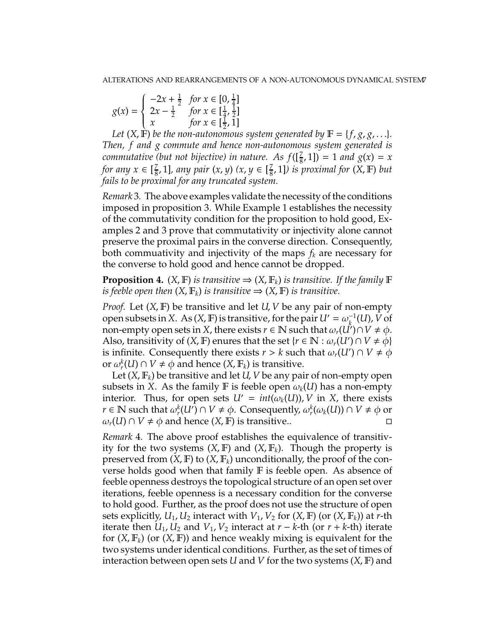$$
g(x) = \begin{cases} -2x + \frac{1}{2} & \text{for } x \in [0, \frac{1}{4}] \\ 2x - \frac{1}{2} & \text{for } x \in [\frac{1}{4}, \frac{1}{2}] \\ x & \text{for } x \in [\frac{1}{2}, 1] \end{cases}
$$

Let  $(X, \mathbb{F})$  *be the non-autonomous system generated by*  $\mathbb{F} = \{f, g, g, \ldots\}$ *. Then, f and g commute and hence non-autonomous system generated is commutative (but not bijective) in nature.* As  $f([\frac{7}{8}, 1]) = 1$  and  $g(x) = x$ *for any*  $x \in [\frac{7}{8}]$ 8 , 1]*, any pair* (*x*, *y*) *(x*, *y* ∈ [ 7  $(\frac{7}{8}, 1]$ *)* is proximal for  $(X, \mathbb{F})$  but *fails to be proximal for any truncated system.*

*Remark* 3*.* The above examples validate the necessity of the conditions imposed in proposition 3. While Example 1 establishes the necessity of the commutativity condition for the proposition to hold good, Examples 2 and 3 prove that commutativity or injectivity alone cannot preserve the proximal pairs in the converse direction. Consequently, both commuativity and injectivity of the maps *f<sup>k</sup>* are necessary for the converse to hold good and hence cannot be dropped.

**Proposition 4.** (*X*, **F**) *is transitive*  $\Rightarrow$  (*X*, **F**<sub>k</sub>) *is transitive. If the family* **F** *is feeble open then*  $(X, \mathbb{F}_k)$  *is transitive*  $\Rightarrow$   $(X, \mathbb{F})$  *is transitive.* 

*Proof.* Let (*X*, F) be transitive and let *U*, *V* be any pair of non-empty open subsets in *X*. As  $(X, F)$  is transitive, for the pair  $U' = \omega_k^{-1}$  $\frac{1}{k}$ <sup>(</sup>*U*), *V* of non-empty open sets in *X*, there exists  $r \in \mathbb{N}$  such that  $\omega_r(\hat{U'}) \cap V \neq \phi$ . Also, transitivity of  $(X, \mathbb{F})$  enures that the set  $\{r \in \mathbb{N} : \omega_r(U') \cap V \neq \phi\}$ is infinite. Consequently there exists  $r > k$  such that  $\omega_r(U') \cap V \neq \phi$ or  $\omega_r^k(U) \cap V \neq \phi$  and hence  $(X, \mathbb{F}_k)$  is transitive.

Let (*X*, F*k*) be transitive and let *U*, *V* be any pair of non-empty open subsets in *X*. As the family **F** is feeble open  $\omega_k(U)$  has a non-empty interior. Thus, for open sets  $U' = int(\omega_k(U))$ , V in X, there exists  $r \in \mathbb{N}$  such that  $\omega_r^k(U') \cap V \neq \phi$ . Consequently,  $\omega_r^k(\omega_k(U)) \cap V \neq \phi$  or  $\omega_r(U) \cap V \neq \phi$  and hence  $(X, F)$  is transitive..

*Remark* 4*.* The above proof establishes the equivalence of transitivity for the two systems  $(X, \mathbb{F})$  and  $(X, \mathbb{F})$ . Though the property is preserved from  $(X, \mathbb{F})$  to  $(X, \mathbb{F}_k)$  unconditionally, the proof of the converse holds good when that family F is feeble open. As absence of feeble openness destroys the topological structure of an open set over iterations, feeble openness is a necessary condition for the converse to hold good. Further, as the proof does not use the structure of open sets explicitly,  $U_1$ ,  $U_2$  interact with  $V_1$ ,  $V_2$  for  $(X, \mathbb{F})$  (or  $(X, \mathbb{F}_k)$ ) at *r*-th iterate then  $U_1$ ,  $U_2$  and  $V_1$ ,  $V_2$  interact at  $r - k$ -th (or  $r + k$ -th) iterate for (*X*, F*k*) (or (*X*, F)) and hence weakly mixing is equivalent for the two systems under identical conditions. Further, as the set of times of interaction between open sets *U* and *V* for the two systems (*X*, F) and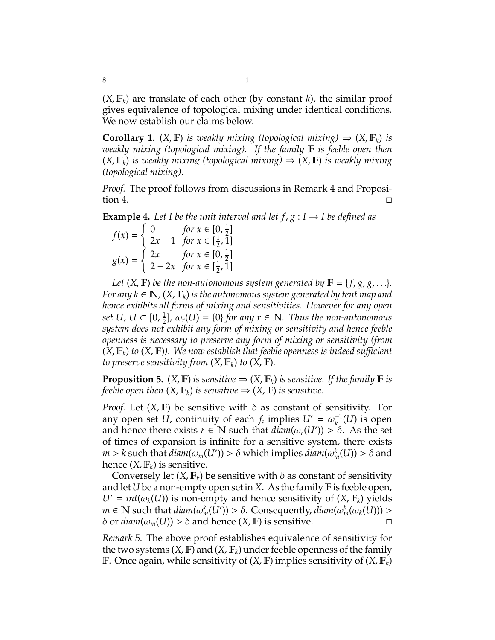$(X, \mathbb{F}_k)$  are translate of each other (by constant *k*), the similar proof gives equivalence of topological mixing under identical conditions. We now establish our claims below.

**Corollary 1.** (*X*, **F**) *is weakly mixing (topological mixing)*  $\Rightarrow$  (*X*, **F**<sub>k</sub>) *is weakly mixing (topological mixing). If the family* F *is feeble open then* (*X*, F*k*) *is weakly mixing (topological mixing)* ⇒ (*X*, F) *is weakly mixing (topological mixing).*

*Proof.* The proof follows from discussions in Remark 4 and Proposi- $\Box$  tion 4.

**Example 4.** Let I be the unit interval and let  $f, g: I \rightarrow I$  be defined as

 $f(x) =$  $\int 0$  *for*  $x \in [0, \frac{1}{2}]$  $\frac{1}{2}$ ] 2*x* − 1 *for x* ∈  $\left[\frac{1}{2}\right]$  $\frac{1}{2}$ , 1]  $g(x) =$  $\int 2x$  *for*  $x \in [0, \frac{1}{2}]$  $\frac{1}{2}$ ]  $2 - 2x$  for  $x \in [\frac{1}{2}]$  $\frac{1}{2}$ , 1]

*Let*  $(X, F)$  *be the non-autonomous system generated by*  $F = \{f, g, g, ...\}$ *. For any k*  $\in \mathbb{N}$ ,  $(X, \mathbb{F}_k)$  *is the autonomous system generated by tent map and hence exhibits all forms of mixing and sensitivities. However for any open* set  $U$ ,  $U \subset [0, \frac{1}{2}]$  $\frac{1}{2}$ *,*  $\omega_r(U) = \{0\}$  *for any r*  $\in \mathbb{N}$ *. Thus the non-autonomous system does not exhibit any form of mixing or sensitivity and hence feeble openness is necessary to preserve any form of mixing or sensitivity (from*  $(X, \mathbb{F}_k)$  *to*  $(X, \mathbb{F})$ *). We now establish that feeble openness is indeed sufficient to preserve sensitivity from*  $(X, \mathbb{F}_k)$  *to*  $(X, \mathbb{F})$ *.* 

**Proposition 5.** (*X*, **F**) *is sensitive*  $\Rightarrow$  (*X*, **F**<sub>k</sub>) *is sensitive. If the family* **F** *is feeble open then*  $(X, \mathbb{F}_k)$  *is sensitive*  $\Rightarrow$   $(X, \mathbb{F})$  *is sensitive.* 

*Proof.* Let  $(X, \mathbb{F})$  be sensitive with  $\delta$  as constant of sensitivity. For any open set *U*, continuity of each  $f_i$  implies  $U' = \omega_k^{-1}$  $\kappa_k^{-1}(U)$  is open and hence there exists  $r \in \mathbb{N}$  such that  $\text{diam}(\omega_r(U')) > \delta$ . As the set of times of expansion is infinite for a sensitive system, there exists *m* > *k* such that *diam*( $ω_m(U')$ ) >  $δ$  which implies *diam*( $ω_m^k(U)$ ) >  $δ$  and hence  $(X, \mathbb{F}_k)$  is sensitive.

Conversely let  $(X, \mathbb{F}_k)$  be sensitive with  $\delta$  as constant of sensitivity and let *U* be a non-empty open set in *X*. As the family  $\mathbb F$  is feeble open,  $U' = int(\omega_k(U))$  is non-empty and hence sensitivity of  $(X, \mathbb{F}_k)$  yields  $m \in \mathbb{N}$  such that  $diam(\omega_m^k(\bar{U}')) > \delta$ . Consequently,  $diam(\omega_m^k(\omega_k(\bar{U}))) > \delta$ .  $\delta$  or *diam*( $ω_m(U)$ ) >  $\delta$  and hence (*X*, **F**) is sensitive.  $□$ 

*Remark* 5*.* The above proof establishes equivalence of sensitivity for the two systems  $(X, \mathbb{F})$  and  $(X, \mathbb{F}_k)$  under feeble openness of the family F. Once again, while sensitivity of (*X*, F) implies sensitivity of (*X*, F*k*)

8 1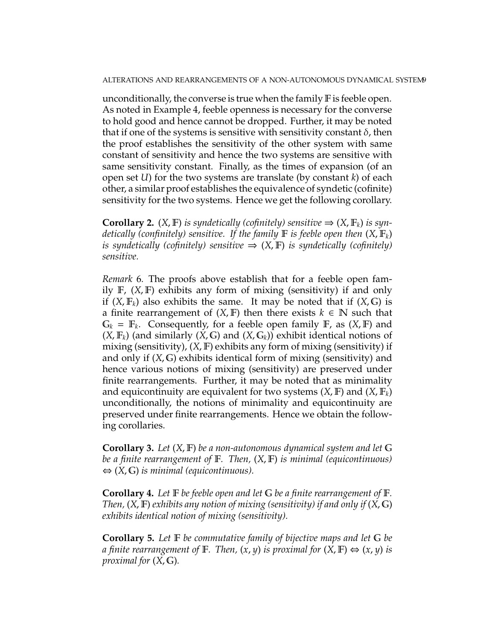unconditionally, the converse is true when the family  $\mathbb F$  is feeble open. As noted in Example 4, feeble openness is necessary for the converse to hold good and hence cannot be dropped. Further, it may be noted that if one of the systems is sensitive with sensitivity constant  $\delta$ , then the proof establishes the sensitivity of the other system with same constant of sensitivity and hence the two systems are sensitive with same sensitivity constant. Finally, as the times of expansion (of an open set *U*) for the two systems are translate (by constant *k*) of each other, a similar proof establishes the equivalence of syndetic (cofinite) sensitivity for the two systems. Hence we get the following corollary.

**Corollary 2.**  $(X, \mathbb{F})$  *is syndetically (cofinitely) sensitive*  $\Rightarrow$   $(X, \mathbb{F}_k)$  *is syndetically (confinitely) sensitive. If the family* F *is feeble open then* (*X*, F*k*) *is syndetically (cofinitely) sensitive*  $\Rightarrow$   $(X, F)$  *is syndetically (cofinitely) sensitive.*

*Remark* 6*.* The proofs above establish that for a feeble open family F, (*X*, F) exhibits any form of mixing (sensitivity) if and only if  $(X, \mathbb{F}_k)$  also exhibits the same. It may be noted that if  $(X, \mathbb{G})$  is a finite rearrangement of  $(X, F)$  then there exists  $k \in \mathbb{N}$  such that  $G_k = \mathbb{F}_k$ . Consequently, for a feeble open family  $\mathbb{F}_r$ , as  $(X, \mathbb{F})$  and  $(X, \mathbb{F}_k)$  (and similarly  $(X, \mathbb{G})$  and  $(X, \mathbb{G}_k)$ ) exhibit identical notions of mixing (sensitivity), (*X*, F) exhibits any form of mixing (sensitivity) if and only if (*X*, G) exhibits identical form of mixing (sensitivity) and hence various notions of mixing (sensitivity) are preserved under finite rearrangements. Further, it may be noted that as minimality and equicontinuity are equivalent for two systems  $(X, \mathbb{F})$  and  $(X, \mathbb{F}_k)$ unconditionally, the notions of minimality and equicontinuity are preserved under finite rearrangements. Hence we obtain the following corollaries.

**Corollary 3.** *Let* (*X*, F) *be a non-autonomous dynamical system and let* G *be a finite rearrangement of* F*. Then,* (*X*, F) *is minimal (equicontinuous)* ⇔ (*X*, G) *is minimal (equicontinuous).*

**Corollary 4.** *Let* F *be feeble open and let* G *be a finite rearrangement of* F*. Then,* (*X*, F) *exhibits any notion of mixing (sensitivity) if and only if* (*X*, G) *exhibits identical notion of mixing (sensitivity).*

**Corollary 5.** *Let* F *be commutative family of bijective maps and let* G *be a finite rearrangement of*  $\mathbb{F}$ *. Then,*  $(x, y)$  *is proximal for*  $(X, \mathbb{F}) \Leftrightarrow (x, y)$  *is proximal for* (*X*, G)*.*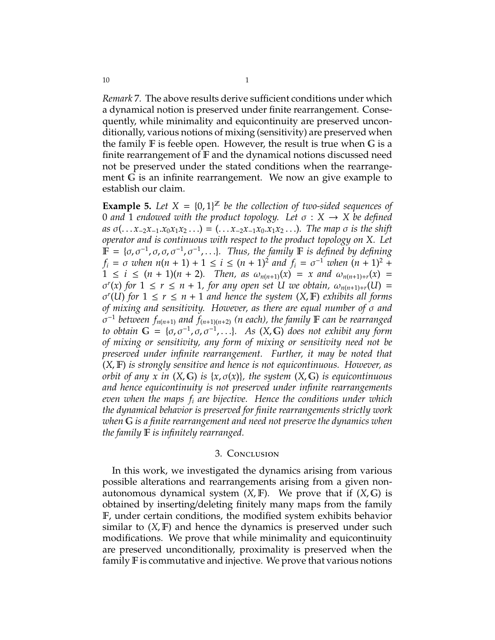*Remark* 7*.* The above results derive sufficient conditions under which a dynamical notion is preserved under finite rearrangement. Consequently, while minimality and equicontinuity are preserved unconditionally, various notions of mixing (sensitivity) are preserved when the family  $F$  is feeble open. However, the result is true when  $G$  is a finite rearrangement of F and the dynamical notions discussed need not be preserved under the stated conditions when the rearrangement G is an infinite rearrangement. We now an give example to establish our claim.

**Example 5.** Let  $X = \{0, 1\}^{\mathbb{Z}}$  be the collection of two-sided sequences of 0 *and* 1 *endowed with the product topology. Let* σ : *X* → *X be defined*  $as \sigma( \ldots x_{-2}x_{-1}.x_0x_1x_2 \ldots ) = (\ldots x_{-2}x_{-1}x_0.x_1x_2 \ldots)$ . The map  $\sigma$  *is the shift operator and is continuous with respect to the product topology on X. Let*  $\mathbb{F} = {\sigma, \sigma^{-1}, \sigma, \sigma, \sigma^{-1}, \sigma^{-1}, \ldots}$ *. Thus, the family* **F** *is defined by defining*  $f_i = \sigma$  *when*  $n(n + 1) + 1 \le i \le (n + 1)^2$  *and*  $f_i = \sigma^{-1}$  *when*  $(n + 1)^2 + 1$  $1 \le i \le (n + 1)(n + 2)$ *. Then, as*  $\omega_{n(n+1)}(x) = x$  and  $\omega_{n(n+1)+r}(x) =$  $\sigma^r(x)$  for  $1 \leq r \leq n+1$ , for any open set U we obtain,  $\omega_{n(n+1)+r}(U)$  =  $\sigma^{r}(U)$  *for*  $1 \leq r \leq n+1$  *and hence the system*  $(X, F)$  *exhibits all forms of mixing and sensitivity. However, as there are equal number of* σ *and*  $\sigma^{-1}$  between  $f_{n(n+1)}$  and  $f_{(n+1)(n+2)}$  (n each), the family **F** can be rearranged *to obtain*  $G = \{\sigma, \sigma^{-1}, \sigma, \sigma^{-1}, \ldots\}$ *. As*  $(X, G)$  *does not exhibit any form of mixing or sensitivity, any form of mixing or sensitivity need not be preserved under infinite rearrangement. Further, it may be noted that* (*X*, F) *is strongly sensitive and hence is not equicontinuous. However, as orbit of any x in* (*X*, G) *is* {*x*, σ(*x*)}*, the system* (*X*, G) *is equicontinuous and hence equicontinuity is not preserved under infinite rearrangements even when the maps f<sup>i</sup> are bijective. Hence the conditions under which the dynamical behavior is preserved for finite rearrangements strictly work when* G *is a finite rearrangement and need not preserve the dynamics when the family* F *is infinitely rearranged.*

#### 3. Conclusion

In this work, we investigated the dynamics arising from various possible alterations and rearrangements arising from a given nonautonomous dynamical system  $(X, F)$ . We prove that if  $(X, G)$  is obtained by inserting/deleting finitely many maps from the family F, under certain conditions, the modified system exhibits behavior similar to  $(X, F)$  and hence the dynamics is preserved under such modifications. We prove that while minimality and equicontinuity are preserved unconditionally, proximality is preserved when the family F is commutative and injective. We prove that various notions